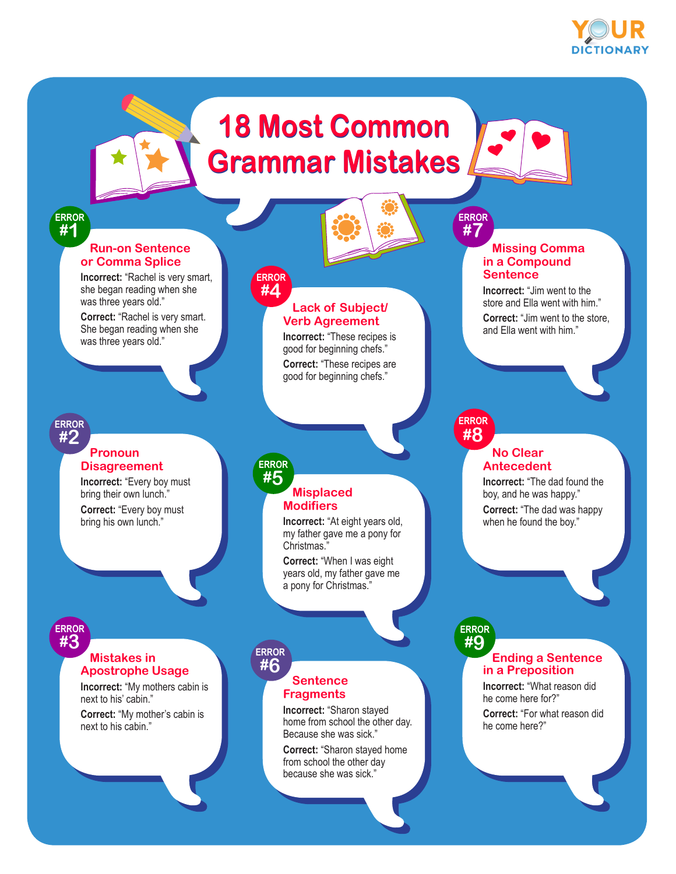

## **18 Most Common 18 Most Common Grammar Mistakes**



 **Missing Comma in a Compound Sentence**

**Incorrect:** "Jim went to the store and Ella went with him." **Correct:** "Jim went to the store, and Ella went with him."

#### **ERROR #1**

#### **Run-on Sentence or Comma Splice**

**Incorrect:** "Rachel is very smart, she began reading when she was three years old."

**Correct:** "Rachel is very smart. She began reading when she was three years old."

### **#2**

#### **Pronoun Disagreement**

**Incorrect:** "Every boy must bring their own lunch." **Correct:** "Every boy must bring his own lunch."

#### **ERROR #4**

#### **Lack of Subject/ Verb Agreement**

**Incorrect:** "These recipes is good for beginning chefs." **Correct:** "These recipes are good for beginning chefs."

#### **ERROR #8 ERROR**

**ERROR**

**ERROR #7**

#### **No Clear Antecedent**

**Incorrect:** "The dad found the boy, and he was happy." **Correct:** "The dad was happy when he found the boy."

#### **ERROR #3**

#### **Mistakes in Apostrophe Usage**

**Incorrect:** "My mothers cabin is next to his' cabin."

**Correct:** "My mother's cabin is next to his cabin."

### **ERROR #5**

#### **Misplaced Modifiers**

**Incorrect:** "At eight years old, my father gave me a pony for Christmas."

**Correct:** "When I was eight years old, my father gave me a pony for Christmas."

#### **ERROR #6**

#### **Sentence Fragments**

**Incorrect:** "Sharon stayed home from school the other day. Because she was sick."

**Correct:** "Sharon stayed home from school the other day because she was sick."

#### **Ending a Sentence in a Preposition #9**

**Incorrect:** "What reason did he come here for?"

**Correct:** "For what reason did he come here?"